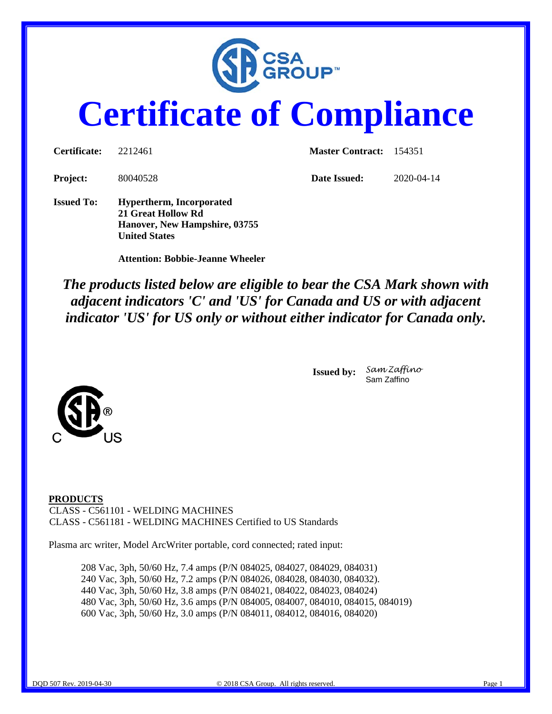

# **Certificate of Compliance**

| Certificate:      | 2212461                                                                                                        | <b>Master Contract:</b> 154351 |            |  |
|-------------------|----------------------------------------------------------------------------------------------------------------|--------------------------------|------------|--|
| <b>Project:</b>   | 80040528                                                                                                       | Date Issued:                   | 2020-04-14 |  |
| <b>Issued To:</b> | <b>Hypertherm, Incorporated</b><br>21 Great Hollow Rd<br>Hanover, New Hampshire, 03755<br><b>United States</b> |                                |            |  |

 **Attention: Bobbie-Jeanne Wheeler** 

*The products listed below are eligible to bear the CSA Mark shown with adjacent indicators 'C' and 'US' for Canada and US or with adjacent indicator 'US' for US only or without either indicator for Canada only.* 



**Issued by:** *Sam Zaffino* Sam Zaffino

**PRODUCTS**  CLASS - C561101 - WELDING MACHINES CLASS - C561181 - WELDING MACHINES Certified to US Standards

Plasma arc writer, Model ArcWriter portable, cord connected; rated input:

208 Vac, 3ph, 50/60 Hz, 7.4 amps (P/N 084025, 084027, 084029, 084031) 240 Vac, 3ph, 50/60 Hz, 7.2 amps (P/N 084026, 084028, 084030, 084032). 440 Vac, 3ph, 50/60 Hz, 3.8 amps (P/N 084021, 084022, 084023, 084024) 480 Vac, 3ph, 50/60 Hz, 3.6 amps (P/N 084005, 084007, 084010, 084015, 084019) 600 Vac, 3ph, 50/60 Hz, 3.0 amps (P/N 084011, 084012, 084016, 084020)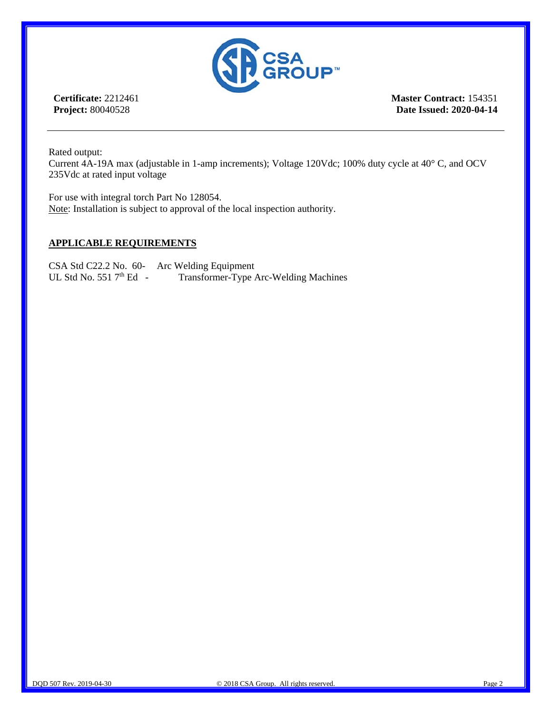

**Certificate:** 2212461 **Project:** 80040528

**Master Contract:** 154351 **Date Issued: 2020-04-14**

Rated output:

Current 4A-19A max (adjustable in 1-amp increments); Voltage 120Vdc; 100% duty cycle at 40° C, and OCV 235Vdc at rated input voltage

For use with integral torch Part No 128054. Note: Installation is subject to approval of the local inspection authority.

### **APPLICABLE REQUIREMENTS**

CSA Std C22.2 No. 60- Arc Welding Equipment<br>UL Std No. 551 7<sup>th</sup> Ed - Transformer-Type *i* Transformer-Type Arc-Welding Machines